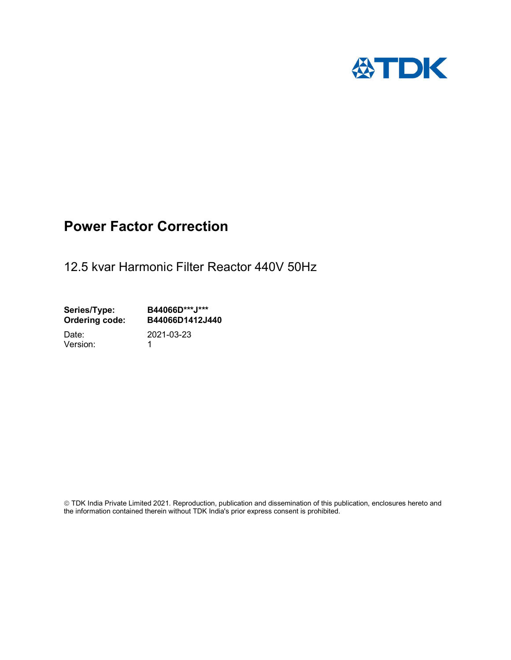

## Power Factor Correction

12.5 kvar Harmonic Filter Reactor 440V 50Hz

Series/Type: B44066D\*\*\*J\*\*\*<br>Ordering code: B44066D1412J4 B44066D1412J440 Date: 2021-03-23

Version: 1

 TDK India Private Limited 2021. Reproduction, publication and dissemination of this publication, enclosures hereto and the information contained therein without TDK India's prior express consent is prohibited.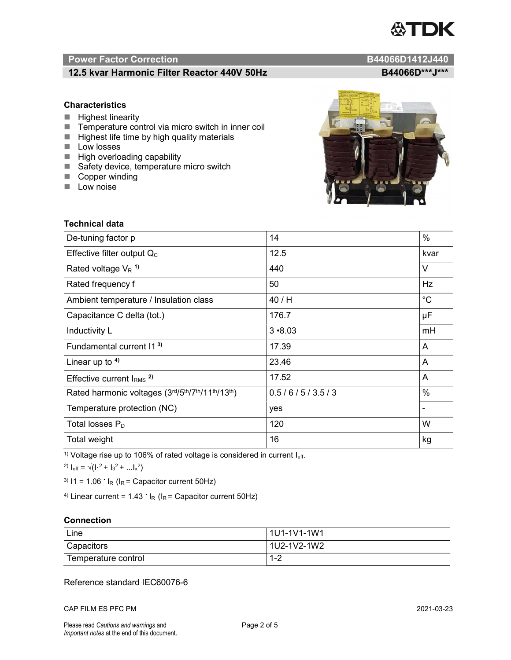# TDK

### Power Factor Correction and Content of Content of Content of Content of Content of Content of Content of Content of Content of Content of Content of Content of Content of Content of Content of Content of Content of Content

### 12.5 kvar Harmonic Filter Reactor 440V 50Hz B44066D\*\*\*J\*\*\*

#### **Characteristics**

- $\blacksquare$  Highest linearity
- Temperature control via micro switch in inner coil
- $\blacksquare$  Highest life time by high quality materials
- **Low losses**
- $\blacksquare$  High overloading capability
- Safety device, temperature micro switch
- Copper winding
- **Low noise**



| Technical data                                  |               |             |
|-------------------------------------------------|---------------|-------------|
| De-tuning factor p                              | 14            | %           |
| Effective filter output $Q_C$                   | 12.5          | kvar        |
| Rated voltage $V_R$ <sup>1)</sup>               | 440           | V           |
| Rated frequency f                               | 50            | Hz          |
| Ambient temperature / Insulation class          | 40/H          | $^{\circ}C$ |
| Capacitance C delta (tot.)                      | 176.7         | μF          |
| Inductivity L                                   | $3 - 8.03$    | mH          |
| Fundamental current 11 <sup>3)</sup>            | 17.39         | A           |
| Linear up to $4$ )                              | 23.46         | A           |
| Effective current $IRMS$ <sup>2)</sup>          | 17.52         | A           |
| Rated harmonic voltages (3rd/5th/7th/11th/13th) | 0.5/6/5/3.5/3 | %           |
| Temperature protection (NC)                     | yes           |             |
| Total losses $P_D$                              | 120           | W           |
| Total weight                                    | 16            | kg          |

<sup>1)</sup> Voltage rise up to 106% of rated voltage is considered in current  $I_{\text{eff}}$ .

<sup>2)</sup>  $I_{eff} = \sqrt{(I_1^2 + I_3^2 + ... I_x^2)}$ 

<sup>3)</sup>  $11 = 1.06$   $\cdot$   $I_R$  ( $I_R$  = Capacitor current 50Hz)

<sup>4)</sup> Linear current =  $1.43$   $\cdot$  I<sub>R</sub> (I<sub>R</sub> = Capacitor current 50Hz)

#### **Connection**

| Line                | l 1U1-1V1-1W1 |
|---------------------|---------------|
| Capacitors          | l 1U2-1V2-1W2 |
| Temperature control | 1 O<br>ے- ا   |

#### Reference standard IEC60076-6

CAP FILM ES PFC PM 2021-03-23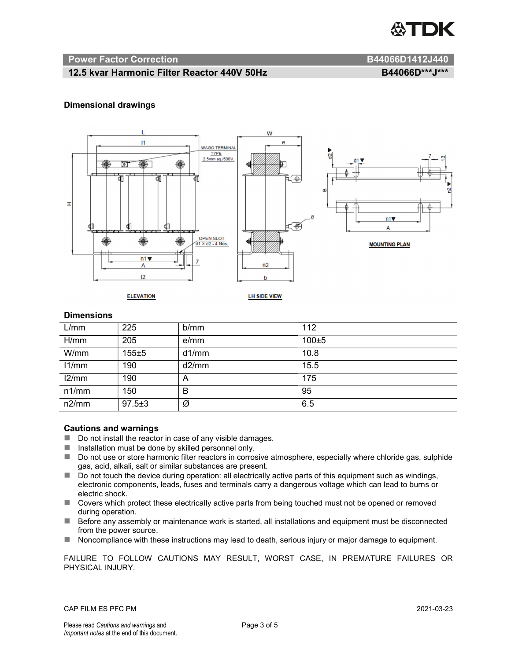

#### Power Factor Correction and B44066D1412J440

#### 12.5 kvar Harmonic Filter Reactor 440V 50Hz B44066D\*\*\*J\*\*\*

#### Dimensional drawings



#### **Dimensions**

| L/mm  | 225          | b/mm  | 112       |
|-------|--------------|-------|-----------|
| H/mm  | 205          | e/mm  | $100 + 5$ |
| W/mm  | 155±5        | d1/mm | 10.8      |
| 11/mm | 190          | d2/mm | 15.5      |
| 12/mm | 190          | A     | 175       |
| n1/mm | 150          | B     | 95        |
| n2/mm | $97.5 \pm 3$ | Ø     | 6.5       |

#### Cautions and warnings

- Do not install the reactor in case of any visible damages.
- $\blacksquare$  Installation must be done by skilled personnel only.
- Do not use or store harmonic filter reactors in corrosive atmosphere, especially where chloride gas, sulphide gas, acid, alkali, salt or similar substances are present.
- $\Box$  Do not touch the device during operation: all electrically active parts of this equipment such as windings, electronic components, leads, fuses and terminals carry a dangerous voltage which can lead to burns or electric shock.
- Covers which protect these electrically active parts from being touched must not be opened or removed during operation.
- Before any assembly or maintenance work is started, all installations and equipment must be disconnected from the power source.
- Noncompliance with these instructions may lead to death, serious injury or major damage to equipment.

FAILURE TO FOLLOW CAUTIONS MAY RESULT, WORST CASE, IN PREMATURE FAILURES OR PHYSICAL INJURY.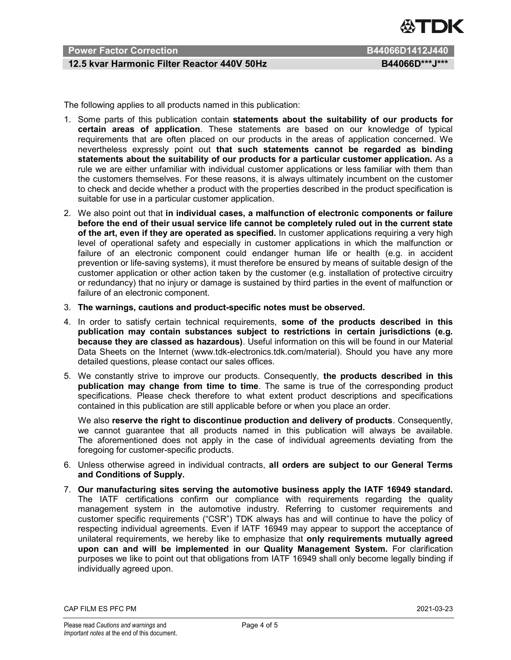

### Power Factor Correction **B44066D1412J440**

#### 12.5 kvar Harmonic Filter Reactor 440V 50Hz B44066D\*\*\*J\*\*\*

The following applies to all products named in this publication:

- 1. Some parts of this publication contain statements about the suitability of our products for certain areas of application. These statements are based on our knowledge of typical requirements that are often placed on our products in the areas of application concerned. We nevertheless expressly point out that such statements cannot be regarded as binding statements about the suitability of our products for a particular customer application. As a rule we are either unfamiliar with individual customer applications or less familiar with them than the customers themselves. For these reasons, it is always ultimately incumbent on the customer to check and decide whether a product with the properties described in the product specification is suitable for use in a particular customer application.
- 2. We also point out that in individual cases, a malfunction of electronic components or failure before the end of their usual service life cannot be completely ruled out in the current state of the art, even if they are operated as specified. In customer applications requiring a very high level of operational safety and especially in customer applications in which the malfunction or failure of an electronic component could endanger human life or health (e.g. in accident prevention or life-saving systems), it must therefore be ensured by means of suitable design of the customer application or other action taken by the customer (e.g. installation of protective circuitry or redundancy) that no injury or damage is sustained by third parties in the event of malfunction or failure of an electronic component.
- 3. The warnings, cautions and product-specific notes must be observed.
- 4. In order to satisfy certain technical requirements, some of the products described in this publication may contain substances subject to restrictions in certain jurisdictions (e.g. because they are classed as hazardous). Useful information on this will be found in our Material Data Sheets on the Internet (www.tdk-electronics.tdk.com/material). Should you have any more detailed questions, please contact our sales offices.
- 5. We constantly strive to improve our products. Consequently, the products described in this publication may change from time to time. The same is true of the corresponding product specifications. Please check therefore to what extent product descriptions and specifications contained in this publication are still applicable before or when you place an order.

We also reserve the right to discontinue production and delivery of products. Consequently, we cannot guarantee that all products named in this publication will always be available. The aforementioned does not apply in the case of individual agreements deviating from the foregoing for customer-specific products.

- 6. Unless otherwise agreed in individual contracts, all orders are subject to our General Terms and Conditions of Supply.
- 7. Our manufacturing sites serving the automotive business apply the IATF 16949 standard. The IATF certifications confirm our compliance with requirements regarding the quality management system in the automotive industry. Referring to customer requirements and customer specific requirements ("CSR") TDK always has and will continue to have the policy of respecting individual agreements. Even if IATF 16949 may appear to support the acceptance of unilateral requirements, we hereby like to emphasize that only requirements mutually agreed upon can and will be implemented in our Quality Management System. For clarification purposes we like to point out that obligations from IATF 16949 shall only become legally binding if individually agreed upon.